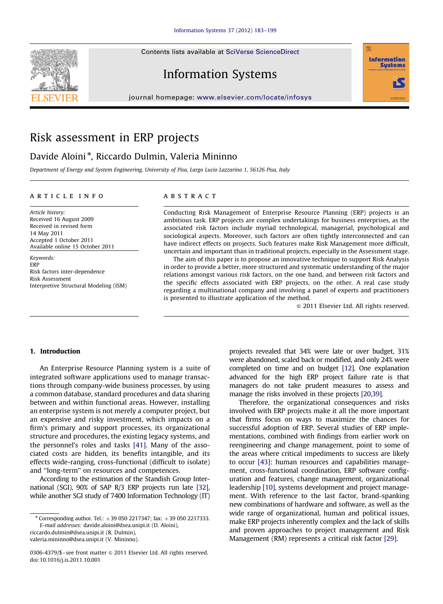Contents lists available at [SciVerse ScienceDirect](www.elsevier.com/locate/infosys)







#### journal homepage: <www.elsevier.com/locate/infosys>

## Risk assessment in ERP projects

### Davide Aloini<sup>\*</sup>, Riccardo Dulmin, Valeria Mininno

Department of Energy and System Engineering, University of Pisa, Largo Lucio Lazzarino 1, 56126 Pisa, Italy

#### article info

Article history: Received 16 August 2009 Received in revised form 14 May 2011 Accepted 1 October 2011 Available online 15 October 2011

Keywords: ERP Risk factors inter-dependence Risk Assessment Interpretive Structural Modeling (ISM)

#### **ABSTRACT**

Conducting Risk Management of Enterprise Resource Planning (ERP) projects is an ambitious task. ERP projects are complex undertakings for business enterprises, as the associated risk factors include myriad technological, managerial, psychological and sociological aspects. Moreover, such factors are often tightly interconnected and can have indirect effects on projects. Such features make Risk Management more difficult, uncertain and important than in traditional projects, especially in the Assessment stage.

The aim of this paper is to propose an innovative technique to support Risk Analysis in order to provide a better, more structured and systematic understanding of the major relations amongst various risk factors, on the one hand, and between risk factors and the specific effects associated with ERP projects, on the other. A real case study regarding a multinational company and involving a panel of experts and practitioners is presented to illustrate application of the method.

 $©$  2011 Elsevier Ltd. All rights reserved.

#### 1. Introduction

An Enterprise Resource Planning system is a suite of integrated software applications used to manage transactions through company-wide business processes, by using a common database, standard procedures and data sharing between and within functional areas. However, installing an enterprise system is not merely a computer project, but an expensive and risky investment, which impacts on a firm's primary and support processes, its organizational structure and procedures, the existing legacy systems, and the personnel's roles and tasks [\[41\]](#page--1-0). Many of the associated costs are hidden, its benefits intangible, and its effects wide-ranging, cross-functional (difficult to isolate) and ''long-term'' on resources and competences.

According to the estimation of the Standish Group International (SGI), 90% of SAP R/3 ERP projects run late [\[32\]](#page--1-0), while another SGI study of 7400 Information Technology (IT)

[riccardo.dulmin@dsea.unipi.it \(R. Dulmin\),](mailto:riccardo.dulmin@dsea.unipi.it)

[valeria.mininno@dsea.unipi.it \(V. Mininno\).](mailto:valeria.mininno@dsea.unipi.it)

projects revealed that 34% were late or over budget, 31% were abandoned, scaled back or modified, and only 24% were completed on time and on budget [\[12\]](#page--1-0). One explanation advanced for the high ERP project failure rate is that managers do not take prudent measures to assess and manage the risks involved in these projects [\[20,39\]](#page--1-0).

Therefore, the organizational consequences and risks involved with ERP projects make it all the more important that firms focus on ways to maximize the chances for successful adoption of ERP. Several studies of ERP implementations, combined with findings from earlier work on reengineering and change management, point to some of the areas where critical impediments to success are likely to occur [\[43\]](#page--1-0): human resources and capabilities management, cross-functional coordination, ERP software configuration and features, change management, organizational leadership [\[10\]](#page--1-0), systems development and project management. With reference to the last factor, brand-spanking new combinations of hardware and software, as well as the wide range of organizational, human and political issues, make ERP projects inherently complex and the lack of skills and proven approaches to project management and Risk Management (RM) represents a critical risk factor [\[29\]](#page--1-0).

Corresponding author. Tel.:  $+390502217347$ ; fax:  $+390502217333$ . E-mail addresses: [davide.aloini@dsea.unipi.it \(D. Aloini\)](mailto:davide.aloini@dsea.unipi.it),

<sup>0306-4379/\$ -</sup> see front matter  $\circ$  2011 Elsevier Ltd. All rights reserved. doi:[10.1016/j.is.2011.10.001](dx.doi.org/10.1016/j.is.2011.10.001)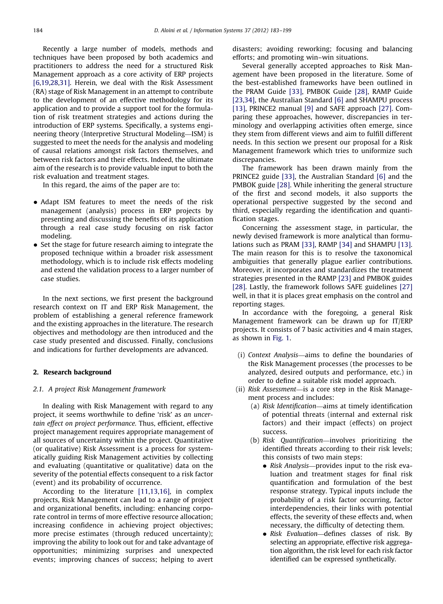Recently a large number of models, methods and techniques have been proposed by both academics and practitioners to address the need for a structured Risk Management approach as a core activity of ERP projects [\[6,19](#page--1-0),[28,31\].](#page--1-0) Herein, we deal with the Risk Assessment (RA) stage of Risk Management in an attempt to contribute to the development of an effective methodology for its application and to provide a support tool for the formulation of risk treatment strategies and actions during the introduction of ERP systems. Specifically, a systems engineering theory (Interpretive Structural Modeling—ISM) is suggested to meet the needs for the analysis and modeling of causal relations amongst risk factors themselves, and between risk factors and their effects. Indeed, the ultimate aim of the research is to provide valuable input to both the risk evaluation and treatment stages.

In this regard, the aims of the paper are to:

- Adapt ISM features to meet the needs of the risk management (analysis) process in ERP projects by presenting and discussing the benefits of its application through a real case study focusing on risk factor modeling.
- Set the stage for future research aiming to integrate the proposed technique within a broader risk assessment methodology, which is to include risk effects modeling and extend the validation process to a larger number of case studies.

In the next sections, we first present the background research context on IT and ERP Risk Management, the problem of establishing a general reference framework and the existing approaches in the literature. The research objectives and methodology are then introduced and the case study presented and discussed. Finally, conclusions and indications for further developments are advanced.

#### 2. Research background

#### 2.1. A project Risk Management framework

In dealing with Risk Management with regard to any project, it seems worthwhile to define 'risk' as an uncertain effect on project performance. Thus, efficient, effective project management requires appropriate management of all sources of uncertainty within the project. Quantitative (or qualitative) Risk Assessment is a process for systematically guiding Risk Management activities by collecting and evaluating (quantitative or qualitative) data on the severity of the potential effects consequent to a risk factor (event) and its probability of occurrence.

According to the literature [\[11,13](#page--1-0),[16\],](#page--1-0) in complex projects, Risk Management can lead to a range of project and organizational benefits, including: enhancing corporate control in terms of more effective resource allocation; increasing confidence in achieving project objectives; more precise estimates (through reduced uncertainty); improving the ability to look out for and take advantage of opportunities; minimizing surprises and unexpected events; improving chances of success; helping to avert disasters; avoiding reworking; focusing and balancing efforts; and promoting win–win situations.

Several generally accepted approaches to Risk Management have been proposed in the literature. Some of the best-established frameworks have been outlined in the PRAM Guide [\[33\]](#page--1-0), PMBOK Guide [\[28\],](#page--1-0) RAMP Guide [\[23,34\]](#page--1-0), the Australian Standard [\[6\]](#page--1-0) and SHAMPU process [\[13\],](#page--1-0) PRINCE2 manual [\[9\]](#page--1-0) and SAFE approach [\[27\]](#page--1-0). Comparing these approaches, however, discrepancies in terminology and overlapping activities often emerge, since they stem from different views and aim to fulfill different needs. In this section we present our proposal for a Risk Management framework which tries to uniformize such discrepancies.

The framework has been drawn mainly from the PRINCE2 guide [\[33\]](#page--1-0), the Australian Standard [\[6\]](#page--1-0) and the PMBOK guide [\[28\]](#page--1-0). While inheriting the general structure of the first and second models, it also supports the operational perspective suggested by the second and third, especially regarding the identification and quantification stages.

Concerning the assessment stage, in particular, the newly devised framework is more analytical than formulations such as PRAM [\[33\],](#page--1-0) RAMP [\[34\]](#page--1-0) and SHAMPU [\[13\]](#page--1-0). The main reason for this is to resolve the taxonomical ambiguities that generally plague earlier contributions. Moreover, it incorporates and standardizes the treatment strategies presented in the RAMP [\[23\]](#page--1-0) and PMBOK guides [\[28\].](#page--1-0) Lastly, the framework follows SAFE guidelines [\[27\]](#page--1-0) well, in that it is places great emphasis on the control and reporting stages.

In accordance with the foregoing, a general Risk Management framework can be drawn up for IT/ERP projects. It consists of 7 basic activities and 4 main stages, as shown in [Fig. 1](#page--1-0).

- (i) Context Analysis—aims to define the boundaries of the Risk Management processes (the processes to be analyzed, desired outputs and performance, etc.) in order to define a suitable risk model approach.
- (ii) Risk Assessment—is a core step in the Risk Management process and includes:
	- (a) Risk Identification—aims at timely identification of potential threats (internal and external risk factors) and their impact (effects) on project success.
	- (b) Risk Quantification—involves prioritizing the identified threats according to their risk levels; this consists of two main steps:
		- Risk Analysis-provides input to the risk evaluation and treatment stages for final risk quantification and formulation of the best response strategy. Typical inputs include the probability of a risk factor occurring, factor interdependencies, their links with potential effects, the severity of these effects and, when necessary, the difficulty of detecting them.
		- · Risk Evaluation-defines classes of risk. By selecting an appropriate, effective risk aggregation algorithm, the risk level for each risk factor identified can be expressed synthetically.